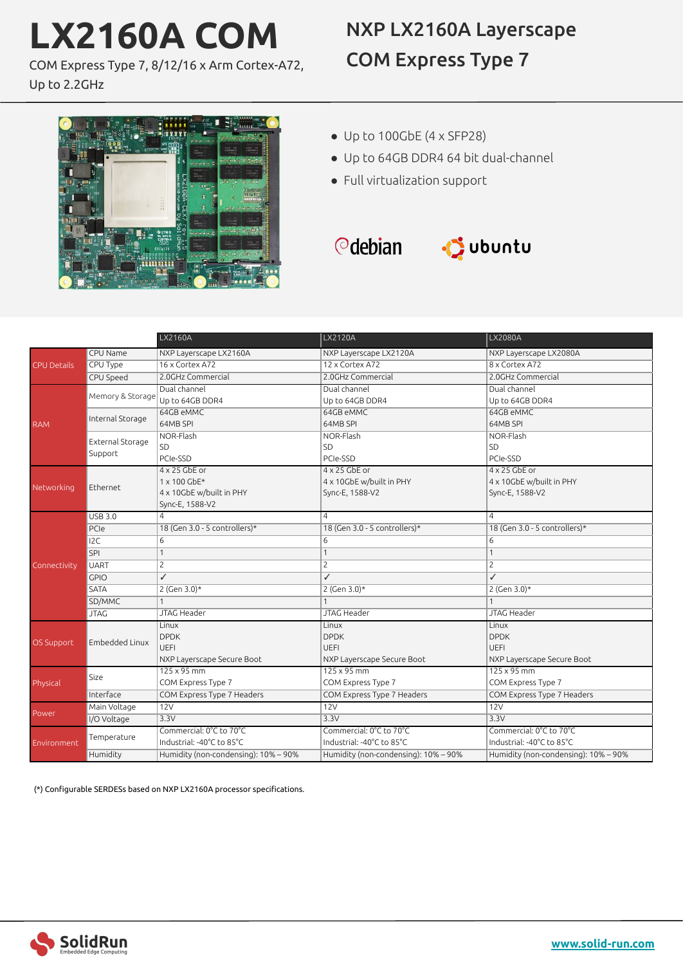# **LX2160A COM**

immin

COM Express Type 7, 8/12/16 x Arm Cortex-A72,

 $\mathbf{E}$  is

Up to 2.2GHz

# NXP LX2160A Layerscape COM Express Type 7

- Up to 100GbE (4 x SFP28)
	- Up to 64GB DDR4 64 bit dual-channel
	- Full virtualization support





|                    |                             | LX2160A                              | LX2120A                              | LX2080A                              |
|--------------------|-----------------------------|--------------------------------------|--------------------------------------|--------------------------------------|
| <b>CPU Details</b> | CPU Name                    | NXP Layerscape LX2160A               | NXP Layerscape LX2120A               | NXP Layerscape LX2080A               |
|                    | CPU Type                    | 16 x Cortex A72                      | 12 x Cortex A72                      | 8 x Cortex A72                       |
|                    | CPU Speed                   | 2.0GHz Commercial                    | 2.0GHz Commercial                    | 2.0GHz Commercial                    |
| <b>RAM</b>         | Memory & Storage            | Dual channel                         | Dual channel                         | Dual channel                         |
|                    |                             | Up to 64GB DDR4                      | Up to 64GB DDR4                      | Up to 64GB DDR4                      |
|                    | Internal Storage            | 64GB eMMC                            | 64GB eMMC                            | 64GB eMMC                            |
|                    |                             | 64MB SPI                             | 64MB SPI                             | 64MB SPI                             |
|                    | External Storage<br>Support | NOR-Flash                            | NOR-Flash                            | NOR-Flash                            |
|                    |                             | SD                                   | SD                                   | SD                                   |
|                    |                             | PCIe-SSD                             | PCIe-SSD                             | PCIe-SSD                             |
| Networking         | Ethernet                    | $4 \times 25$ GbE or                 | $4 \times 25$ GbE or                 | $4 \times 25$ GbE or                 |
|                    |                             | 1 x 100 GbE*                         | 4 x 10GbE w/built in PHY             | 4 x 10GbE w/built in PHY             |
|                    |                             | 4 x 10GbE w/built in PHY             | Sync-E, 1588-V2                      | Sync-E, 1588-V2                      |
|                    |                             | Sync-E, 1588-V2                      |                                      |                                      |
|                    | <b>USB 3.0</b>              | $\overline{4}$                       | $\overline{a}$                       | $\overline{4}$                       |
| Connectivity       | PCIe                        | 18 (Gen 3.0 - 5 controllers)*        | 18 (Gen 3.0 - 5 controllers)*        | 18 (Gen 3.0 - 5 controllers)*        |
|                    | 12C                         | 6                                    | 6                                    | 6                                    |
|                    | SPI                         | $\mathbf{1}$                         | 1                                    | $\mathbf{1}$                         |
|                    | UART                        | $\overline{c}$                       | 2                                    | $\overline{c}$                       |
|                    | <b>GPIO</b>                 | $\overline{\checkmark}$              | $\checkmark$                         | $\checkmark$                         |
|                    | <b>SATA</b>                 | 2 (Gen $3.0$ )*                      | 2 (Gen 3.0)*                         | 2 (Gen 3.0)*                         |
|                    | SD/MMC                      | $\mathbf{1}$                         | $\mathbf{1}$                         | $\mathbf{1}$                         |
|                    | <b>JTAG</b>                 | JTAG Header                          | <b>JTAG Header</b>                   | JTAG Header                          |
| <b>OS Support</b>  |                             | Linux                                | Linux                                | Linux                                |
|                    | Embedded Linux              | <b>DPDK</b>                          | <b>DPDK</b>                          | <b>DPDK</b>                          |
|                    |                             | <b>UEFI</b>                          | <b>UEFI</b>                          | UEFI                                 |
|                    |                             | NXP Layerscape Secure Boot           | NXP Layerscape Secure Boot           | NXP Layerscape Secure Boot           |
| Physical           | Size                        | $125 \times 95$ mm                   | $125 \times 95$ mm                   | $125 \times 95$ mm                   |
|                    |                             | COM Express Type 7                   | COM Express Type 7                   | COM Express Type 7                   |
|                    | Interface                   | COM Express Type 7 Headers           | COM Express Type 7 Headers           | COM Express Type 7 Headers           |
| Power              | Main Voltage                | 12V                                  | 12V                                  | 12V                                  |
|                    | I/O Voltage                 | 3.3V                                 | 3.3V                                 | 3.3V                                 |
| Environment        | Temperature                 | Commercial: 0°C to 70°C              | Commercial: 0°C to 70°C              | Commercial: 0°C to 70°C              |
|                    |                             | Industrial: -40°C to 85°C            | Industrial: -40°C to 85°C            | Industrial: -40°C to 85°C            |
|                    | Humidity                    | Humidity (non-condensing): 10% - 90% | Humidity (non-condensing): 10% - 90% | Humidity (non-condensing): 10% - 90% |

(\*) Configurable SERDESs based on NXP LX2160A processor specifications.